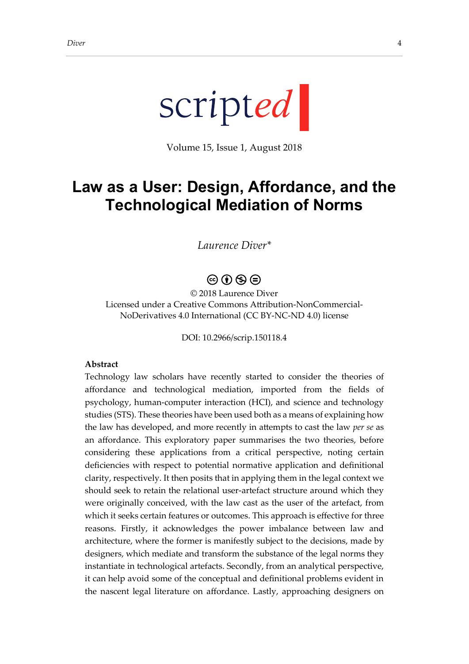

Volume 15, Issue 1, August 2018

# **Law as a User: Design, Affordance, and the Technological Mediation of Norms**

# *Laurence Diver\**

# $\circledcirc \circ \circledcirc$

© 2018 Laurence Diver Licensed under a Creative Commons Attribution-NonCommercial-NoDerivatives 4.0 International (CC BY-NC-ND 4.0) license

DOI: 10.2966/scrip.150118.4

#### **Abstract**

Technology law scholars have recently started to consider the theories of affordance and technological mediation, imported from the fields of psychology, human-computer interaction (HCI), and science and technology studies (STS). These theories have been used both as a means of explaining how the law has developed, and more recently in attempts to cast the law *per se* as an affordance. This exploratory paper summarises the two theories, before considering these applications from a critical perspective, noting certain deficiencies with respect to potential normative application and definitional clarity, respectively. It then posits that in applying them in the legal context we should seek to retain the relational user-artefact structure around which they were originally conceived, with the law cast as the user of the artefact, from which it seeks certain features or outcomes. This approach is effective for three reasons. Firstly, it acknowledges the power imbalance between law and architecture, where the former is manifestly subject to the decisions, made by designers, which mediate and transform the substance of the legal norms they instantiate in technological artefacts. Secondly, from an analytical perspective, it can help avoid some of the conceptual and definitional problems evident in the nascent legal literature on affordance. Lastly, approaching designers on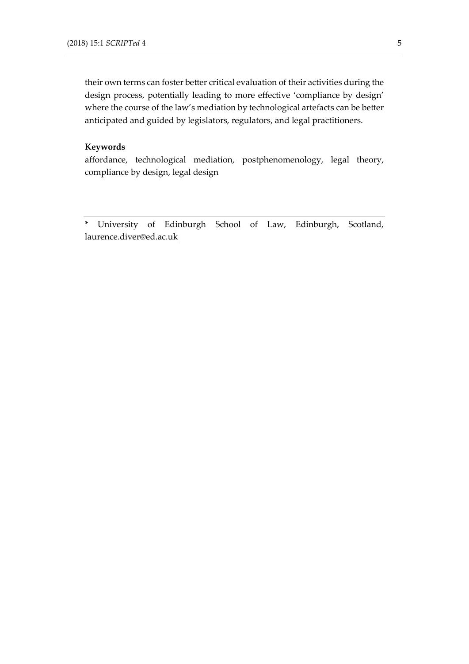their own terms can foster better critical evaluation of their activities during the design process, potentially leading to more effective 'compliance by design' where the course of the law's mediation by technological artefacts can be better anticipated and guided by legislators, regulators, and legal practitioners.

#### **Keywords**

affordance, technological mediation, postphenomenology, legal theory, compliance by design, legal design

\* University of Edinburgh School of Law, Edinburgh, Scotland, [laurence.diver@ed.ac.uk](mailto:laurence.diver@ed.ac.uk)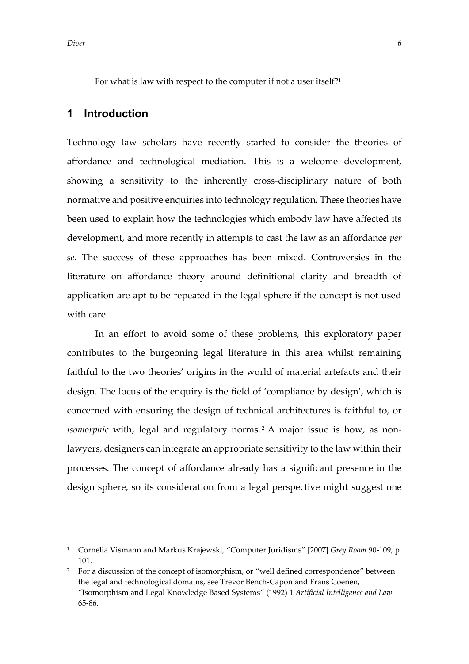For what is law with respect to the computer if not a user itself?<sup>1</sup>

# **1 Introduction**

Technology law scholars have recently started to consider the theories of affordance and technological mediation. This is a welcome development, showing a sensitivity to the inherently cross-disciplinary nature of both normative and positive enquiries into technology regulation. These theories have been used to explain how the technologies which embody law have affected its development, and more recently in attempts to cast the law as an affordance *per se*. The success of these approaches has been mixed. Controversies in the literature on affordance theory around definitional clarity and breadth of application are apt to be repeated in the legal sphere if the concept is not used with care.

In an effort to avoid some of these problems, this exploratory paper contributes to the burgeoning legal literature in this area whilst remaining faithful to the two theories' origins in the world of material artefacts and their design. The locus of the enquiry is the field of 'compliance by design', which is concerned with ensuring the design of technical architectures is faithful to, or *isomorphic with, legal and regulatory norms.<sup>2</sup> A major issue is how, as non*lawyers, designers can integrate an appropriate sensitivity to the law within their processes. The concept of affordance already has a significant presence in the design sphere, so its consideration from a legal perspective might suggest one

<sup>1</sup> Cornelia Vismann and Markus Krajewski, "Computer Juridisms" [2007] *Grey Room* 90-109, p. 101.

<sup>&</sup>lt;sup>2</sup> For a discussion of the concept of isomorphism, or "well defined correspondence" between the legal and technological domains, see Trevor Bench-Capon and Frans Coenen, "Isomorphism and Legal Knowledge Based Systems" (1992) 1 *Artificial Intelligence and Law* 65-86.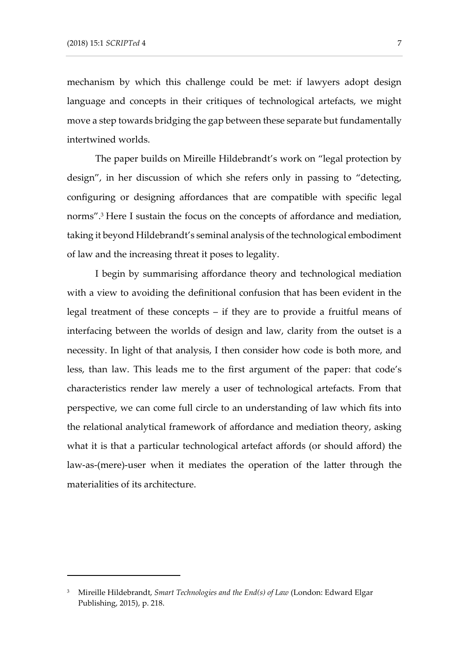mechanism by which this challenge could be met: if lawyers adopt design language and concepts in their critiques of technological artefacts, we might move a step towards bridging the gap between these separate but fundamentally intertwined worlds.

The paper builds on Mireille Hildebrandt's work on "legal protection by design", in her discussion of which she refers only in passing to "detecting, configuring or designing affordances that are compatible with specific legal norms".<sup>3</sup> Here I sustain the focus on the concepts of affordance and mediation, taking it beyond Hildebrandt's seminal analysis of the technological embodiment of law and the increasing threat it poses to legality.

I begin by summarising affordance theory and technological mediation with a view to avoiding the definitional confusion that has been evident in the legal treatment of these concepts – if they are to provide a fruitful means of interfacing between the worlds of design and law, clarity from the outset is a necessity. In light of that analysis, I then consider how code is both more, and less, than law. This leads me to the first argument of the paper: that code's characteristics render law merely a user of technological artefacts. From that perspective, we can come full circle to an understanding of law which fits into the relational analytical framework of affordance and mediation theory, asking what it is that a particular technological artefact affords (or should afford) the law-as-(mere)-user when it mediates the operation of the latter through the materialities of its architecture.

<sup>3</sup> Mireille Hildebrandt, *Smart Technologies and the End(s) of Law* (London: Edward Elgar Publishing, 2015), p. 218.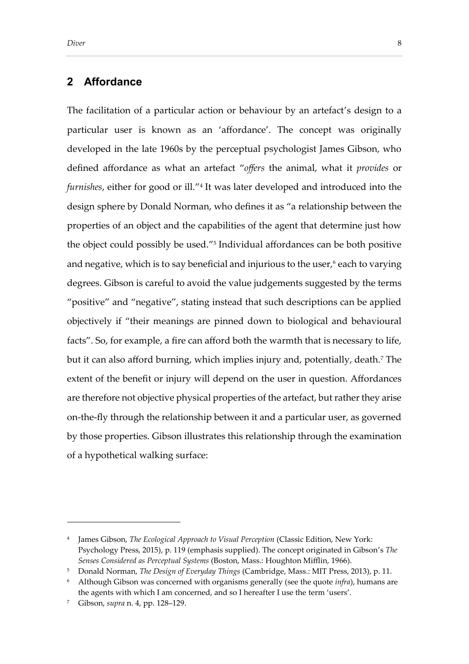# **2 Affordance**

The facilitation of a particular action or behaviour by an artefact's design to a particular user is known as an 'affordance'. The concept was originally developed in the late 1960s by the perceptual psychologist James Gibson, who defined affordance as what an artefact "*offers* the animal, what it *provides* or *furnishes*, either for good or ill." 4 It was later developed and introduced into the design sphere by Donald Norman, who defines it as "a relationship between the properties of an object and the capabilities of the agent that determine just how the object could possibly be used." 5 Individual affordances can be both positive and negative, which is to say beneficial and injurious to the user, $6$  each to varying degrees. Gibson is careful to avoid the value judgements suggested by the terms "positive" and "negative", stating instead that such descriptions can be applied objectively if "their meanings are pinned down to biological and behavioural facts". So, for example, a fire can afford both the warmth that is necessary to life, but it can also afford burning, which implies injury and, potentially, death.<sup>7</sup> The extent of the benefit or injury will depend on the user in question. Affordances are therefore not objective physical properties of the artefact, but rather they arise on-the-fly through the relationship between it and a particular user, as governed by those properties. Gibson illustrates this relationship through the examination of a hypothetical walking surface:

<sup>4</sup> James Gibson, *The Ecological Approach to Visual Perception* (Classic Edition, New York: Psychology Press, 2015), p. 119 (emphasis supplied). The concept originated in Gibson's *The Senses Considered as Perceptual Systems* (Boston, Mass.: Houghton Mifflin, 1966).

<sup>5</sup> Donald Norman, *The Design of Everyday Things* (Cambridge, Mass.: MIT Press, 2013), p. 11.

<sup>6</sup> Although Gibson was concerned with organisms generally (see the quote *infra*), humans are the agents with which I am concerned, and so I hereafter I use the term 'users'.

<sup>7</sup> Gibson, *supra* n. 4, pp. 128–129.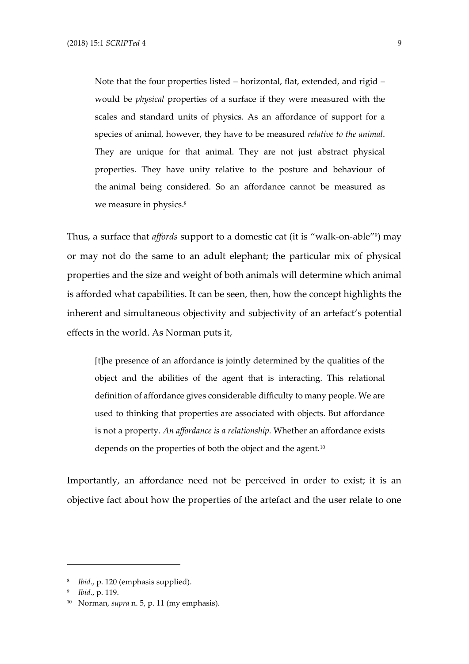Note that the four properties listed – horizontal, flat, extended, and rigid – would be *physical* properties of a surface if they were measured with the scales and standard units of physics. As an affordance of support for a species of animal, however, they have to be measured *relative to the animal*. They are unique for that animal. They are not just abstract physical properties. They have unity relative to the posture and behaviour of the animal being considered. So an affordance cannot be measured as we measure in physics.<sup>8</sup>

Thus, a surface that *affords* support to a domestic cat (it is "walk-on-able" 9 ) may or may not do the same to an adult elephant; the particular mix of physical properties and the size and weight of both animals will determine which animal is afforded what capabilities. It can be seen, then, how the concept highlights the inherent and simultaneous objectivity and subjectivity of an artefact's potential effects in the world. As Norman puts it,

[t]he presence of an affordance is jointly determined by the qualities of the object and the abilities of the agent that is interacting. This relational definition of affordance gives considerable difficulty to many people. We are used to thinking that properties are associated with objects. But affordance is not a property. *An affordance is a relationship.* Whether an affordance exists depends on the properties of both the object and the agent.<sup>10</sup>

Importantly, an affordance need not be perceived in order to exist; it is an objective fact about how the properties of the artefact and the user relate to one

<sup>8</sup> *Ibid.*, p. 120 (emphasis supplied).

<sup>9</sup> *Ibid.*, p. 119.

<sup>10</sup> Norman, *supra* n. 5, p. 11 (my emphasis).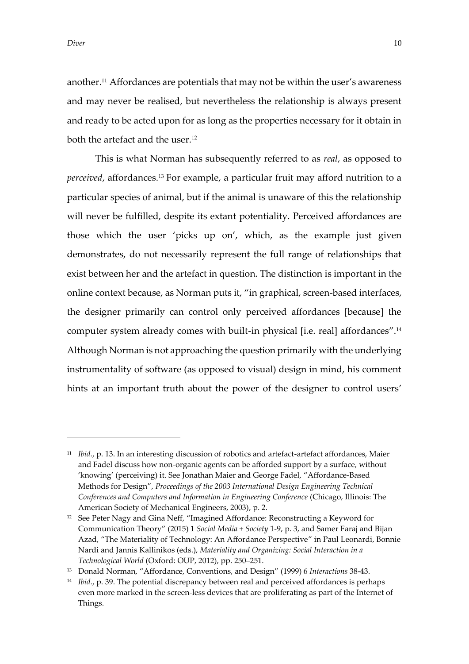another.<sup>11</sup> Affordances are potentials that may not be within the user's awareness and may never be realised, but nevertheless the relationship is always present and ready to be acted upon for as long as the properties necessary for it obtain in both the artefact and the user.<sup>12</sup>

This is what Norman has subsequently referred to as *real*, as opposed to *perceived*, affordances.<sup>13</sup> For example, a particular fruit may afford nutrition to a particular species of animal, but if the animal is unaware of this the relationship will never be fulfilled, despite its extant potentiality. Perceived affordances are those which the user 'picks up on', which, as the example just given demonstrates, do not necessarily represent the full range of relationships that exist between her and the artefact in question. The distinction is important in the online context because, as Norman puts it, "in graphical, screen-based interfaces, the designer primarily can control only perceived affordances [because] the computer system already comes with built-in physical [i.e. real] affordances".<sup>14</sup> Although Norman is not approaching the question primarily with the underlying instrumentality of software (as opposed to visual) design in mind, his comment hints at an important truth about the power of the designer to control users'

<sup>11</sup> *Ibid.*, p. 13. In an interesting discussion of robotics and artefact-artefact affordances, Maier and Fadel discuss how non-organic agents can be afforded support by a surface, without 'knowing' (perceiving) it. See Jonathan Maier and George Fadel, "Affordance-Based Methods for Design", *Proceedings of the 2003 International Design Engineering Technical Conferences and Computers and Information in Engineering Conference* (Chicago, Illinois: The American Society of Mechanical Engineers, 2003), p. 2.

<sup>12</sup> See Peter Nagy and Gina Neff, "Imagined Affordance: Reconstructing a Keyword for Communication Theory" (2015) 1 *Social Media + Society* 1-9, p. 3, and Samer Faraj and Bijan Azad, "The Materiality of Technology: An Affordance Perspective" in Paul Leonardi, Bonnie Nardi and Jannis Kallinikos (eds.), *Materiality and Organizing: Social Interaction in a Technological World* (Oxford: OUP, 2012), pp. 250–251.

<sup>13</sup> Donald Norman, "Affordance, Conventions, and Design" (1999) 6 *Interactions* 38-43.

<sup>&</sup>lt;sup>14</sup> *Ibid.*, p. 39. The potential discrepancy between real and perceived affordances is perhaps even more marked in the screen-less devices that are proliferating as part of the Internet of Things.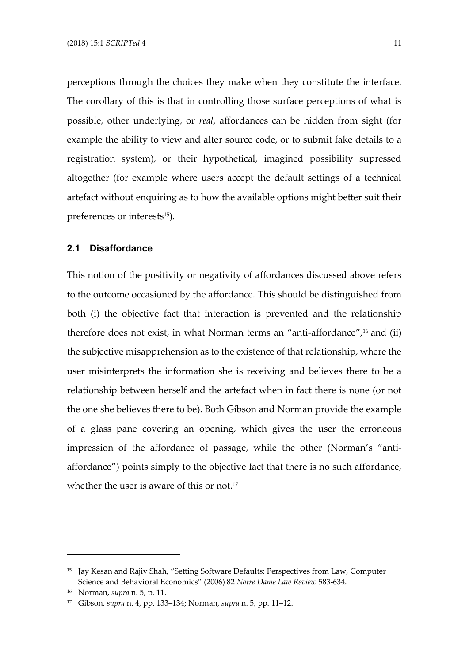perceptions through the choices they make when they constitute the interface. The corollary of this is that in controlling those surface perceptions of what is possible, other underlying, or *real*, affordances can be hidden from sight (for example the ability to view and alter source code, or to submit fake details to a registration system), or their hypothetical, imagined possibility supressed altogether (for example where users accept the default settings of a technical artefact without enquiring as to how the available options might better suit their preferences or interests<sup>15</sup>).

## **2.1 Disaffordance**

This notion of the positivity or negativity of affordances discussed above refers to the outcome occasioned by the affordance. This should be distinguished from both (i) the objective fact that interaction is prevented and the relationship therefore does not exist, in what Norman terms an "anti-affordance",<sup>16</sup> and (ii) the subjective misapprehension as to the existence of that relationship, where the user misinterprets the information she is receiving and believes there to be a relationship between herself and the artefact when in fact there is none (or not the one she believes there to be). Both Gibson and Norman provide the example of a glass pane covering an opening, which gives the user the erroneous impression of the affordance of passage, while the other (Norman's "antiaffordance") points simply to the objective fact that there is no such affordance, whether the user is aware of this or not.<sup>17</sup>

<sup>&</sup>lt;sup>15</sup> Jay Kesan and Rajiv Shah, "Setting Software Defaults: Perspectives from Law, Computer Science and Behavioral Economics" (2006) 82 *Notre Dame Law Review* 583-634.

<sup>16</sup> Norman, *supra* n. 5, p. 11.

<sup>17</sup> Gibson, *supra* n. 4, pp. 133–134; Norman, *supra* n. 5, pp. 11–12.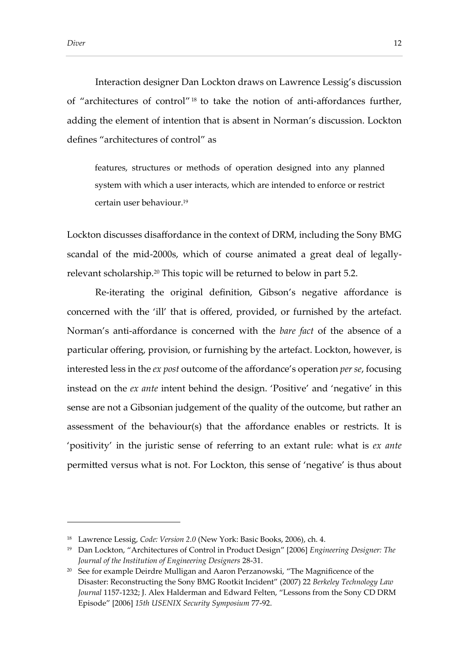Interaction designer Dan Lockton draws on Lawrence Lessig's discussion of "architectures of control" 18 to take the notion of anti-affordances further, adding the element of intention that is absent in Norman's discussion. Lockton defines "architectures of control" as

features, structures or methods of operation designed into any planned system with which a user interacts, which are intended to enforce or restrict certain user behaviour.<sup>19</sup>

Lockton discusses disaffordance in the context of DRM, including the Sony BMG scandal of the mid-2000s, which of course animated a great deal of legallyrelevant scholarship.<sup>20</sup> This topic will be returned to below in part [5.2.](#page-32-0)

Re-iterating the original definition, Gibson's negative affordance is concerned with the 'ill' that is offered, provided, or furnished by the artefact. Norman's anti-affordance is concerned with the *bare fact* of the absence of a particular offering, provision, or furnishing by the artefact. Lockton, however, is interested less in the *ex post* outcome of the affordance's operation *per se*, focusing instead on the *ex ante* intent behind the design. 'Positive' and 'negative' in this sense are not a Gibsonian judgement of the quality of the outcome, but rather an assessment of the behaviour(s) that the affordance enables or restricts. It is 'positivity' in the juristic sense of referring to an extant rule: what is *ex ante*  permitted versus what is not. For Lockton, this sense of 'negative' is thus about

<sup>18</sup> Lawrence Lessig, *Code: Version 2.0* (New York: Basic Books, 2006), ch. 4.

<sup>19</sup> Dan Lockton, "Architectures of Control in Product Design" [2006] *Engineering Designer: The Journal of the Institution of Engineering Designers* 28-31.

<sup>&</sup>lt;sup>20</sup> See for example Deirdre Mulligan and Aaron Perzanowski, "The Magnificence of the Disaster: Reconstructing the Sony BMG Rootkit Incident" (2007) 22 *Berkeley Technology Law Journal* 1157-1232; J. Alex Halderman and Edward Felten, "Lessons from the Sony CD DRM Episode" [2006] *15th USENIX Security Symposium* 77-92.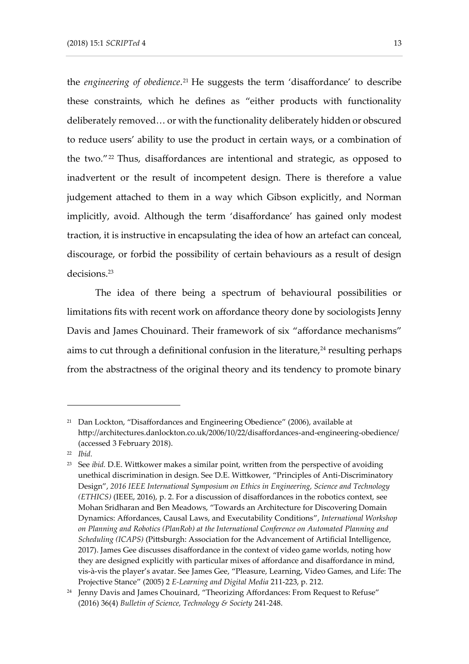the *engineering of obedience*.<sup>21</sup> He suggests the term 'disaffordance' to describe these constraints, which he defines as "either products with functionality deliberately removed… or with the functionality deliberately hidden or obscured to reduce users' ability to use the product in certain ways, or a combination of the two." 22 Thus, disaffordances are intentional and strategic, as opposed to inadvertent or the result of incompetent design. There is therefore a value judgement attached to them in a way which Gibson explicitly, and Norman implicitly, avoid. Although the term 'disaffordance' has gained only modest traction, it is instructive in encapsulating the idea of how an artefact can conceal, discourage, or forbid the possibility of certain behaviours as a result of design decisions.<sup>23</sup>

The idea of there being a spectrum of behavioural possibilities or limitations fits with recent work on affordance theory done by sociologists Jenny Davis and James Chouinard. Their framework of six "affordance mechanisms" aims to cut through a definitional confusion in the literature, $24$  resulting perhaps from the abstractness of the original theory and its tendency to promote binary

<sup>&</sup>lt;sup>21</sup> Dan Lockton, "Disaffordances and Engineering Obedience" (2006), available at http://architectures.danlockton.co.uk/2006/10/22/disaffordances-and-engineering-obedience/ (accessed 3 February 2018).

<sup>22</sup> *Ibid.*

<sup>&</sup>lt;sup>23</sup> See *ibid*. D.E. Wittkower makes a similar point, written from the perspective of avoiding unethical discrimination in design. See D.E. Wittkower, "Principles of Anti-Discriminatory Design", *2016 IEEE International Symposium on Ethics in Engineering, Science and Technology (ETHICS)* (IEEE, 2016), p. 2. For a discussion of disaffordances in the robotics context, see Mohan Sridharan and Ben Meadows, "Towards an Architecture for Discovering Domain Dynamics: Affordances, Causal Laws, and Executability Conditions", *International Workshop on Planning and Robotics (PlanRob) at the International Conference on Automated Planning and Scheduling (ICAPS)* (Pittsburgh: Association for the Advancement of Artificial Intelligence, 2017). James Gee discusses disaffordance in the context of video game worlds, noting how they are designed explicitly with particular mixes of affordance and disaffordance in mind, vis-à-vis the player's avatar. See James Gee, "Pleasure, Learning, Video Games, and Life: The Projective Stance" (2005) 2 *E-Learning and Digital Media* 211-223, p. 212.

<sup>&</sup>lt;sup>24</sup> Jenny Davis and James Chouinard, "Theorizing Affordances: From Request to Refuse" (2016) 36(4) *Bulletin of Science, Technology & Society* 241-248.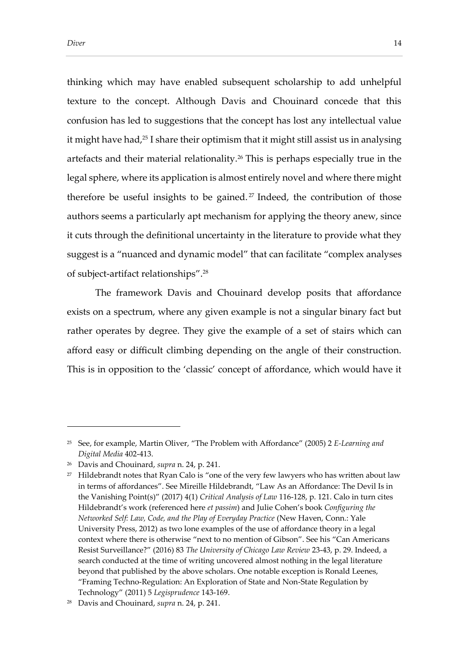thinking which may have enabled subsequent scholarship to add unhelpful texture to the concept. Although Davis and Chouinard concede that this confusion has led to suggestions that the concept has lost any intellectual value it might have had,<sup>25</sup> I share their optimism that it might still assist us in analysing artefacts and their material relationality.<sup>26</sup> This is perhaps especially true in the legal sphere, where its application is almost entirely novel and where there might therefore be useful insights to be gained. <sup>27</sup> Indeed, the contribution of those authors seems a particularly apt mechanism for applying the theory anew, since it cuts through the definitional uncertainty in the literature to provide what they suggest is a "nuanced and dynamic model" that can facilitate "complex analyses of subject-artifact relationships".<sup>28</sup>

The framework Davis and Chouinard develop posits that affordance exists on a spectrum, where any given example is not a singular binary fact but rather operates by degree. They give the example of a set of stairs which can afford easy or difficult climbing depending on the angle of their construction. This is in opposition to the 'classic' concept of affordance, which would have it

<sup>25</sup> See, for example, Martin Oliver, "The Problem with Affordance" (2005) 2 *E-Learning and Digital Media* 402-413.

<sup>26</sup> Davis and Chouinard, *supra* n. 24, p. 241.

 $27$  Hildebrandt notes that Ryan Calo is "one of the very few lawyers who has written about law in terms of affordances". See Mireille Hildebrandt, "Law As an Affordance: The Devil Is in the Vanishing Point(s)" (2017) 4(1) *Critical Analysis of Law* 116-128, p. 121. Calo in turn cites Hildebrandt's work (referenced here *et passim*) and Julie Cohen's book *Configuring the Networked Self: Law, Code, and the Play of Everyday Practice* (New Haven, Conn.: Yale University Press, 2012) as two lone examples of the use of affordance theory in a legal context where there is otherwise "next to no mention of Gibson". See his "Can Americans Resist Surveillance?" (2016) 83 *The University of Chicago Law Review* 23-43, p. 29. Indeed, a search conducted at the time of writing uncovered almost nothing in the legal literature beyond that published by the above scholars. One notable exception is Ronald Leenes, "Framing Techno-Regulation: An Exploration of State and Non-State Regulation by Technology" (2011) 5 *Legisprudence* 143-169.

<sup>28</sup> Davis and Chouinard, *supra* n. 24, p. 241.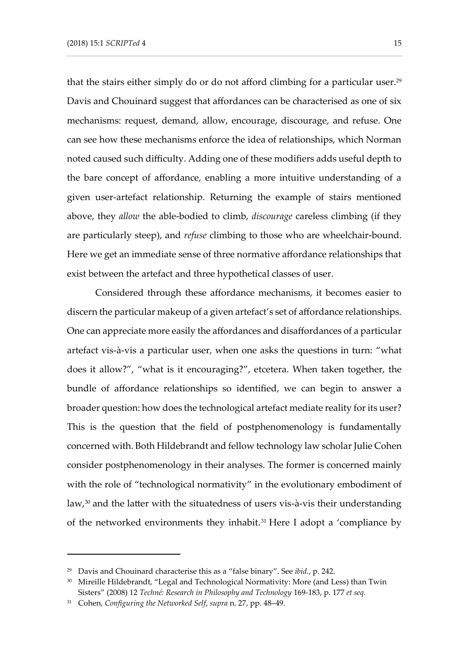that the stairs either simply do or do not afford climbing for a particular user.<sup>29</sup> Davis and Chouinard suggest that affordances can be characterised as one of six mechanisms: request, demand, allow, encourage, discourage, and refuse. One can see how these mechanisms enforce the idea of relationships, which Norman noted caused such difficulty. Adding one of these modifiers adds useful depth to the bare concept of affordance, enabling a more intuitive understanding of a given user-artefact relationship. Returning the example of stairs mentioned above, they *allow* the able-bodied to climb, *discourage* careless climbing (if they are particularly steep), and *refuse* climbing to those who are wheelchair-bound. Here we get an immediate sense of three normative affordance relationships that exist between the artefact and three hypothetical classes of user.

Considered through these affordance mechanisms, it becomes easier to discern the particular makeup of a given artefact's set of affordance relationships. One can appreciate more easily the affordances and disaffordances of a particular artefact vis-à-vis a particular user, when one asks the questions in turn: "what does it allow?", "what is it encouraging?", etcetera. When taken together, the bundle of affordance relationships so identified, we can begin to answer a broader question: how does the technological artefact mediate reality for its user? This is the question that the field of postphenomenology is fundamentally concerned with. Both Hildebrandt and fellow technology law scholar Julie Cohen consider postphenomenology in their analyses. The former is concerned mainly with the role of "technological normativity" in the evolutionary embodiment of law,<sup>30</sup> and the latter with the situatedness of users vis-à-vis their understanding of the networked environments they inhabit.<sup>31</sup> Here I adopt a 'compliance by

<sup>29</sup> Davis and Chouinard characterise this as a "false binary". See *ibid.*, p. 242.

<sup>&</sup>lt;sup>30</sup> Mireille Hildebrandt, "Legal and Technological Normativity: More (and Less) than Twin Sisters" (2008) 12 *Techné: Research in Philosophy and Technology* 169-183, p. 177 *et seq*.

<sup>31</sup> Cohen, *Configuring the Networked Self*, *supra* n. 27, pp. 48–49.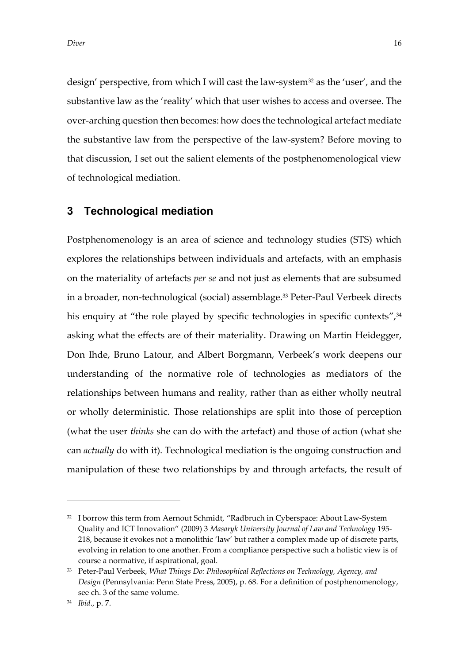design' perspective, from which I will cast the law-system<sup>32</sup> as the 'user', and the substantive law as the 'reality' which that user wishes to access and oversee. The over-arching question then becomes: how does the technological artefact mediate the substantive law from the perspective of the law-system? Before moving to that discussion, I set out the salient elements of the postphenomenological view of technological mediation.

# **3 Technological mediation**

Postphenomenology is an area of science and technology studies (STS) which explores the relationships between individuals and artefacts, with an emphasis on the materiality of artefacts *per se* and not just as elements that are subsumed in a broader, non-technological (social) assemblage. <sup>33</sup> Peter-Paul Verbeek directs his enquiry at "the role played by specific technologies in specific contexts",<sup>34</sup> asking what the effects are of their materiality. Drawing on Martin Heidegger, Don Ihde, Bruno Latour, and Albert Borgmann, Verbeek's work deepens our understanding of the normative role of technologies as mediators of the relationships between humans and reality, rather than as either wholly neutral or wholly deterministic. Those relationships are split into those of perception (what the user *thinks* she can do with the artefact) and those of action (what she can *actually* do with it). Technological mediation is the ongoing construction and manipulation of these two relationships by and through artefacts, the result of

<sup>&</sup>lt;sup>32</sup> I borrow this term from Aernout Schmidt, "Radbruch in Cyberspace: About Law-System Quality and ICT Innovation" (2009) 3 *Masaryk University Journal of Law and Technology* 195- 218, because it evokes not a monolithic 'law' but rather a complex made up of discrete parts, evolving in relation to one another. From a compliance perspective such a holistic view is of course a normative, if aspirational, goal.

<sup>33</sup> Peter-Paul Verbeek, *What Things Do: Philosophical Reflections on Technology, Agency, and Design* (Pennsylvania: Penn State Press, 2005), p. 68. For a definition of postphenomenology, see ch. 3 of the same volume.

<sup>34</sup> *Ibid*., p. 7.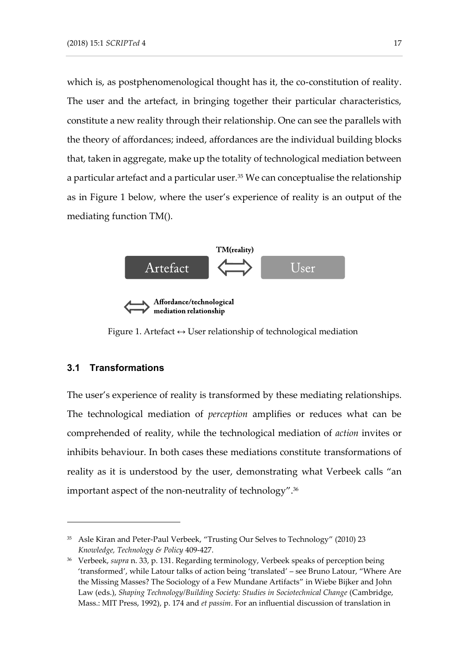which is, as postphenomenological thought has it, the co-constitution of reality. The user and the artefact, in bringing together their particular characteristics, constitute a new reality through their relationship. One can see the parallels with the theory of affordances; indeed, affordances are the individual building blocks that, taken in aggregate, make up the totality of technological mediation between a particular artefact and a particular user.<sup>35</sup> We can conceptualise the relationship as in Figure 1 below, where the user's experience of reality is an output of the mediating function TM().



mediation relationship

Figure 1. Artefact  $\leftrightarrow$  User relationship of technological mediation

### **3.1 Transformations**

-

The user's experience of reality is transformed by these mediating relationships. The technological mediation of *perception* amplifies or reduces what can be comprehended of reality, while the technological mediation of *action* invites or inhibits behaviour. In both cases these mediations constitute transformations of reality as it is understood by the user, demonstrating what Verbeek calls "an important aspect of the non-neutrality of technology".<sup>36</sup>

<sup>35</sup> Asle Kiran and Peter-Paul Verbeek, "Trusting Our Selves to Technology" (2010) 23 *Knowledge, Technology & Policy* 409-427.

<sup>36</sup> Verbeek, *supra* n. 33, p. 131. Regarding terminology, Verbeek speaks of perception being 'transformed', while Latour talks of action being 'translated' – see Bruno Latour, "Where Are the Missing Masses? The Sociology of a Few Mundane Artifacts" in Wiebe Bijker and John Law (eds.), *Shaping Technology/Building Society: Studies in Sociotechnical Change* (Cambridge, Mass.: MIT Press, 1992), p. 174 and *et passim*. For an influential discussion of translation in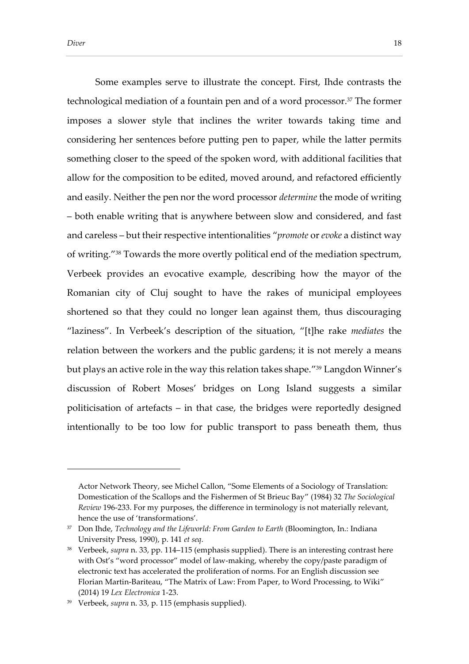Some examples serve to illustrate the concept. First, Ihde contrasts the technological mediation of a fountain pen and of a word processor.<sup>37</sup> The former imposes a slower style that inclines the writer towards taking time and considering her sentences before putting pen to paper, while the latter permits something closer to the speed of the spoken word, with additional facilities that allow for the composition to be edited, moved around, and refactored efficiently and easily. Neither the pen nor the word processor *determine* the mode of writing – both enable writing that is anywhere between slow and considered, and fast and careless – but their respective intentionalities "*promote* or *evoke* a distinct way of writing." <sup>38</sup> Towards the more overtly political end of the mediation spectrum, Verbeek provides an evocative example, describing how the mayor of the Romanian city of Cluj sought to have the rakes of municipal employees shortened so that they could no longer lean against them, thus discouraging "laziness". In Verbeek's description of the situation, "[t]he rake *mediates* the relation between the workers and the public gardens; it is not merely a means but plays an active role in the way this relation takes shape." <sup>39</sup> Langdon Winner's discussion of Robert Moses' bridges on Long Island suggests a similar politicisation of artefacts – in that case, the bridges were reportedly designed intentionally to be too low for public transport to pass beneath them, thus

Actor Network Theory, see Michel Callon, "Some Elements of a Sociology of Translation: Domestication of the Scallops and the Fishermen of St Brieuc Bay" (1984) 32 *The Sociological Review* 196-233. For my purposes, the difference in terminology is not materially relevant, hence the use of 'transformations'.

<sup>37</sup> Don Ihde, *Technology and the Lifeworld: From Garden to Earth* (Bloomington, In.: Indiana University Press, 1990), p. 141 *et seq*.

<sup>38</sup> Verbeek, *supra* n. 33, pp. 114–115 (emphasis supplied). There is an interesting contrast here with Ost's "word processor" model of law-making, whereby the copy/paste paradigm of electronic text has accelerated the proliferation of norms. For an English discussion see Florian Martin-Bariteau, "The Matrix of Law: From Paper, to Word Processing, to Wiki" (2014) 19 *Lex Electronica* 1-23.

<sup>39</sup> Verbeek, *supra* n. 33, p. 115 (emphasis supplied).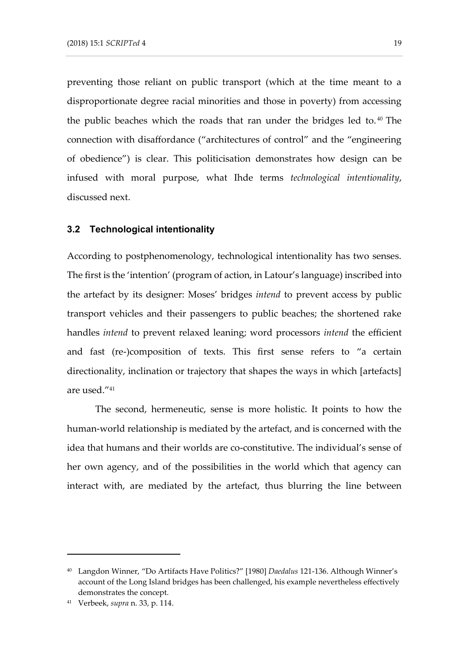preventing those reliant on public transport (which at the time meant to a disproportionate degree racial minorities and those in poverty) from accessing the public beaches which the roads that ran under the bridges led to. <sup>40</sup> The connection with disaffordance ("architectures of control" and the "engineering of obedience") is clear. This politicisation demonstrates how design can be infused with moral purpose, what Ihde terms *technological intentionality*, discussed next.

#### **3.2 Technological intentionality**

According to postphenomenology, technological intentionality has two senses. The first is the 'intention' (program of action, in Latour's language) inscribed into the artefact by its designer: Moses' bridges *intend* to prevent access by public transport vehicles and their passengers to public beaches; the shortened rake handles *intend* to prevent relaxed leaning; word processors *intend* the efficient and fast (re-)composition of texts. This first sense refers to "a certain directionality, inclination or trajectory that shapes the ways in which [artefacts] are used." 41

The second, hermeneutic, sense is more holistic. It points to how the human-world relationship is mediated by the artefact, and is concerned with the idea that humans and their worlds are co-constitutive. The individual's sense of her own agency, and of the possibilities in the world which that agency can interact with, are mediated by the artefact, thus blurring the line between

<sup>40</sup> Langdon Winner, "Do Artifacts Have Politics?" [1980] *Daedalus* 121-136. Although Winner's account of the Long Island bridges has been challenged, his example nevertheless effectively demonstrates the concept.

<sup>41</sup> Verbeek, *supra* n. 33, p. 114.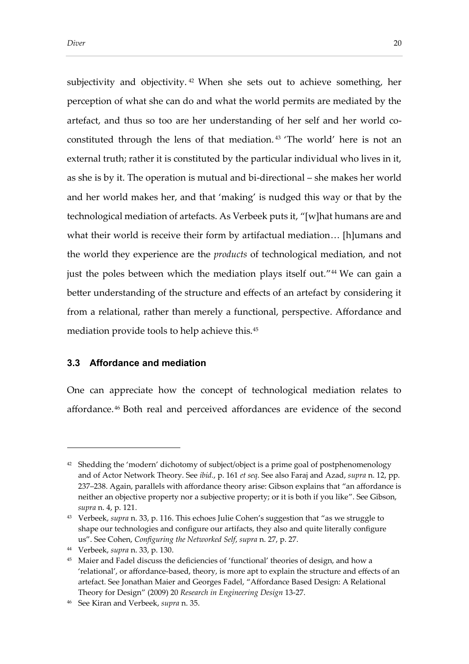*Diver* 20

subjectivity and objectivity. <sup>42</sup> When she sets out to achieve something, her perception of what she can do and what the world permits are mediated by the artefact, and thus so too are her understanding of her self and her world coconstituted through the lens of that mediation. <sup>43</sup> 'The world' here is not an external truth; rather it is constituted by the particular individual who lives in it, as she is by it. The operation is mutual and bi-directional – she makes her world and her world makes her, and that 'making' is nudged this way or that by the technological mediation of artefacts. As Verbeek puts it, "[w]hat humans are and what their world is receive their form by artifactual mediation… [h]umans and the world they experience are the *products* of technological mediation, and not just the poles between which the mediation plays itself out." 44 We can gain a better understanding of the structure and effects of an artefact by considering it from a relational, rather than merely a functional, perspective. Affordance and mediation provide tools to help achieve this.<sup>45</sup>

# **3.3 Affordance and mediation**

One can appreciate how the concept of technological mediation relates to affordance. <sup>46</sup> Both real and perceived affordances are evidence of the second

<sup>&</sup>lt;sup>42</sup> Shedding the 'modern' dichotomy of subject/object is a prime goal of postphenomenology and of Actor Network Theory. See *ibid.*, p. 161 *et seq*. See also Faraj and Azad, *supra* n. 12, pp. 237–238. Again, parallels with affordance theory arise: Gibson explains that "an affordance is neither an objective property nor a subjective property; or it is both if you like". See Gibson, *supra* n. 4, p. 121.

<sup>43</sup> Verbeek, *supra* n. 33, p. 116. This echoes Julie Cohen's suggestion that "as we struggle to shape our technologies and configure our artifacts, they also and quite literally configure us". See Cohen, *Configuring the Networked Self*, *supra* n. 27, p. 27.

<sup>44</sup> Verbeek, *supra* n. 33, p. 130.

<sup>&</sup>lt;sup>45</sup> Maier and Fadel discuss the deficiencies of 'functional' theories of design, and how a 'relational', or affordance-based, theory, is more apt to explain the structure and effects of an artefact. See Jonathan Maier and Georges Fadel, "Affordance Based Design: A Relational Theory for Design" (2009) 20 *Research in Engineering Design* 13-27.

<sup>46</sup> See Kiran and Verbeek, *supra* n. 35.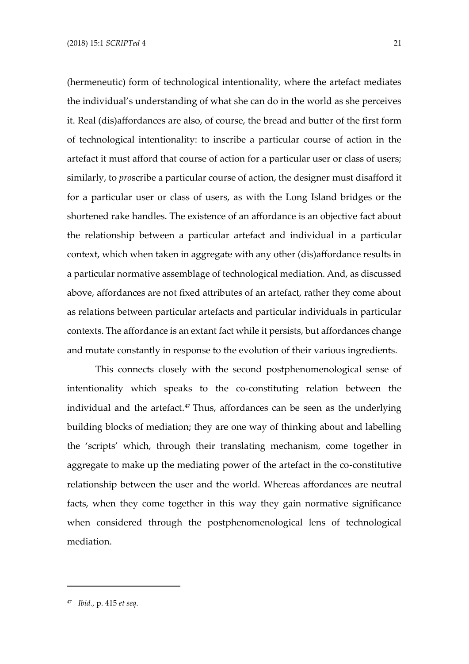(hermeneutic) form of technological intentionality, where the artefact mediates the individual's understanding of what she can do in the world as she perceives it. Real (dis)affordances are also, of course, the bread and butter of the first form of technological intentionality: to inscribe a particular course of action in the artefact it must afford that course of action for a particular user or class of users; similarly, to *pro*scribe a particular course of action, the designer must disafford it for a particular user or class of users, as with the Long Island bridges or the shortened rake handles. The existence of an affordance is an objective fact about the relationship between a particular artefact and individual in a particular context, which when taken in aggregate with any other (dis)affordance results in a particular normative assemblage of technological mediation. And, as discussed above, affordances are not fixed attributes of an artefact, rather they come about as relations between particular artefacts and particular individuals in particular contexts. The affordance is an extant fact while it persists, but affordances change and mutate constantly in response to the evolution of their various ingredients.

This connects closely with the second postphenomenological sense of intentionality which speaks to the co-constituting relation between the individual and the artefact.<sup>47</sup> Thus, affordances can be seen as the underlying building blocks of mediation; they are one way of thinking about and labelling the 'scripts' which, through their translating mechanism, come together in aggregate to make up the mediating power of the artefact in the co-constitutive relationship between the user and the world. Whereas affordances are neutral facts, when they come together in this way they gain normative significance when considered through the postphenomenological lens of technological mediation.

<sup>47</sup> *Ibid.*, p. 415 *et seq*.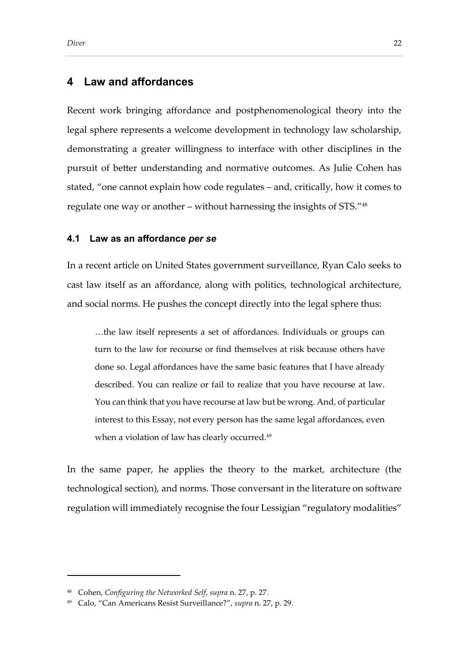# **4 Law and affordances**

Recent work bringing affordance and postphenomenological theory into the legal sphere represents a welcome development in technology law scholarship, demonstrating a greater willingness to interface with other disciplines in the pursuit of better understanding and normative outcomes. As Julie Cohen has stated, "one cannot explain how code regulates – and, critically, how it comes to regulate one way or another – without harnessing the insights of STS." 48

#### **4.1 Law as an affordance** *per se*

In a recent article on United States government surveillance, Ryan Calo seeks to cast law itself as an affordance, along with politics, technological architecture, and social norms. He pushes the concept directly into the legal sphere thus:

…the law itself represents a set of affordances. Individuals or groups can turn to the law for recourse or find themselves at risk because others have done so. Legal affordances have the same basic features that I have already described. You can realize or fail to realize that you have recourse at law. You can think that you have recourse at law but be wrong. And, of particular interest to this Essay, not every person has the same legal affordances, even when a violation of law has clearly occurred.<sup>49</sup>

In the same paper, he applies the theory to the market, architecture (the technological section), and norms. Those conversant in the literature on software regulation will immediately recognise the four Lessigian "regulatory modalities"

<sup>48</sup> Cohen, *Configuring the Networked Self*, *supra* n. 27, p. 27.

<sup>49</sup> Calo, "Can Americans Resist Surveillance?", *supra* n. 27, p. 29.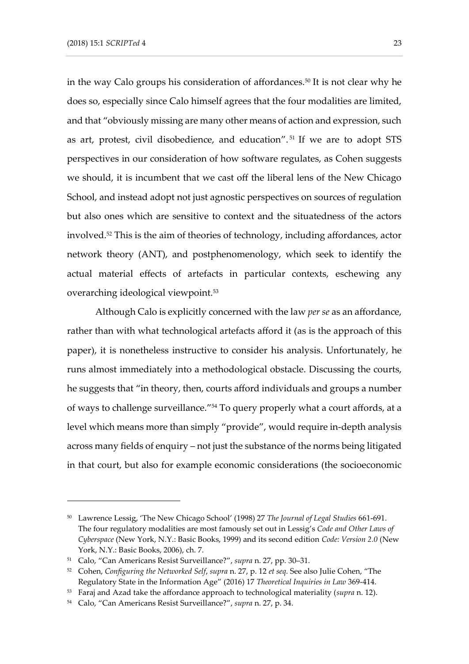in the way Calo groups his consideration of affordances.<sup>50</sup> It is not clear why he does so, especially since Calo himself agrees that the four modalities are limited, and that "obviously missing are many other means of action and expression, such as art, protest, civil disobedience, and education". <sup>51</sup> If we are to adopt STS perspectives in our consideration of how software regulates, as Cohen suggests we should, it is incumbent that we cast off the liberal lens of the New Chicago School, and instead adopt not just agnostic perspectives on sources of regulation but also ones which are sensitive to context and the situatedness of the actors involved.<sup>52</sup> This is the aim of theories of technology, including affordances, actor network theory (ANT), and postphenomenology, which seek to identify the actual material effects of artefacts in particular contexts, eschewing any overarching ideological viewpoint. 53

Although Calo is explicitly concerned with the law *per se* as an affordance, rather than with what technological artefacts afford it (as is the approach of this paper), it is nonetheless instructive to consider his analysis. Unfortunately, he runs almost immediately into a methodological obstacle. Discussing the courts, he suggests that "in theory, then, courts afford individuals and groups a number of ways to challenge surveillance." <sup>54</sup> To query properly what a court affords, at a level which means more than simply "provide", would require in-depth analysis across many fields of enquiry – not just the substance of the norms being litigated in that court, but also for example economic considerations (the socioeconomic

<sup>50</sup> Lawrence Lessig, 'The New Chicago School' (1998) 27 *The Journal of Legal Studies* 661-691. The four regulatory modalities are most famously set out in Lessig's *Code and Other Laws of Cyberspace* (New York, N.Y.: Basic Books, 1999) and its second edition *Code: Version 2.0* (New York, N.Y.: Basic Books, 2006), ch. 7.

<sup>51</sup> Calo, "Can Americans Resist Surveillance?", *supra* n. 27, pp. 30–31.

<sup>52</sup> Cohen, *Configuring the Networked Self*, *supra* n. 27, p. 12 *et seq*. See also Julie Cohen, "The Regulatory State in the Information Age" (2016) 17 *Theoretical Inquiries in Law* 369-414.

<sup>53</sup> Faraj and Azad take the affordance approach to technological materiality (*supra* n. 12).

<sup>54</sup> Calo, "Can Americans Resist Surveillance?", *supra* n. 27, p. 34.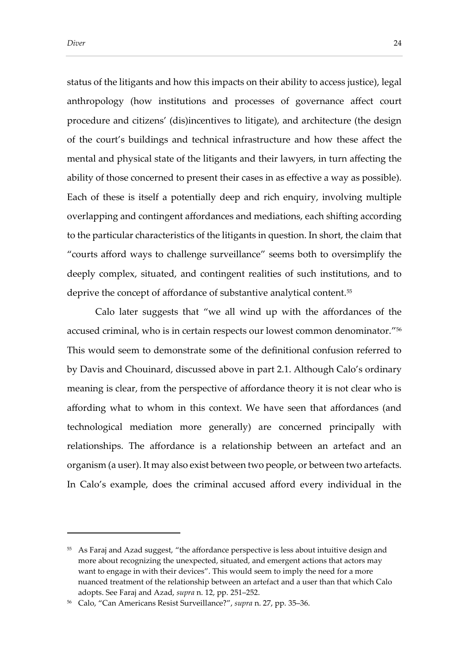status of the litigants and how this impacts on their ability to access justice), legal anthropology (how institutions and processes of governance affect court procedure and citizens' (dis)incentives to litigate), and architecture (the design of the court's buildings and technical infrastructure and how these affect the mental and physical state of the litigants and their lawyers, in turn affecting the ability of those concerned to present their cases in as effective a way as possible). Each of these is itself a potentially deep and rich enquiry, involving multiple overlapping and contingent affordances and mediations, each shifting according to the particular characteristics of the litigants in question. In short, the claim that "courts afford ways to challenge surveillance" seems both to oversimplify the deeply complex, situated, and contingent realities of such institutions, and to deprive the concept of affordance of substantive analytical content.<sup>55</sup>

Calo later suggests that "we all wind up with the affordances of the accused criminal, who is in certain respects our lowest common denominator." 56 This would seem to demonstrate some of the definitional confusion referred to by Davis and Chouinard, discussed above in part 2.1. Although Calo's ordinary meaning is clear, from the perspective of affordance theory it is not clear who is affording what to whom in this context. We have seen that affordances (and technological mediation more generally) are concerned principally with relationships. The affordance is a relationship between an artefact and an organism (a user). It may also exist between two people, or between two artefacts. In Calo's example, does the criminal accused afford every individual in the

<sup>55</sup> As Faraj and Azad suggest, "the affordance perspective is less about intuitive design and more about recognizing the unexpected, situated, and emergent actions that actors may want to engage in with their devices". This would seem to imply the need for a more nuanced treatment of the relationship between an artefact and a user than that which Calo adopts. See Faraj and Azad, *supra* n. 12, pp. 251–252.

<sup>56</sup> Calo, "Can Americans Resist Surveillance?", *supra* n. 27, pp. 35–36.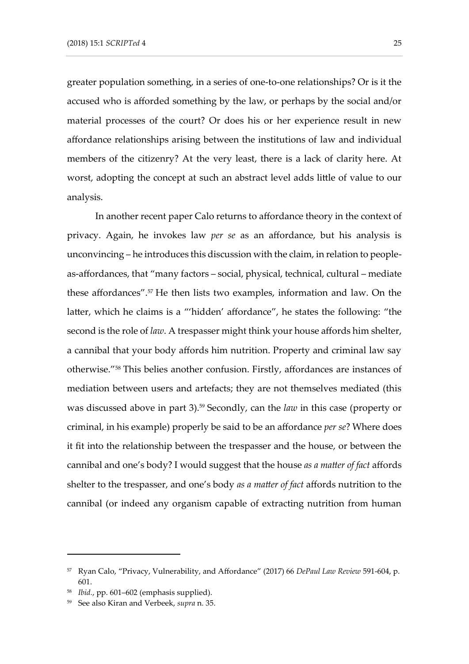greater population something, in a series of one-to-one relationships? Or is it the accused who is afforded something by the law, or perhaps by the social and/or material processes of the court? Or does his or her experience result in new affordance relationships arising between the institutions of law and individual members of the citizenry? At the very least, there is a lack of clarity here. At worst, adopting the concept at such an abstract level adds little of value to our analysis.

In another recent paper Calo returns to affordance theory in the context of privacy. Again, he invokes law *per se* as an affordance, but his analysis is unconvincing – he introduces this discussion with the claim, in relation to peopleas-affordances, that "many factors – social, physical, technical, cultural – mediate these affordances".<sup>57</sup> He then lists two examples, information and law. On the latter, which he claims is a "'hidden' affordance", he states the following: "the second is the role of *law*. A trespasser might think your house affords him shelter, a cannibal that your body affords him nutrition. Property and criminal law say otherwise." <sup>58</sup> This belies another confusion. Firstly, affordances are instances of mediation between users and artefacts; they are not themselves mediated (this was discussed above in part 3).<sup>59</sup> Secondly, can the *law* in this case (property or criminal, in his example) properly be said to be an affordance *per se*? Where does it fit into the relationship between the trespasser and the house, or between the cannibal and one's body? I would suggest that the house *as a matter of fact* affords shelter to the trespasser, and one's body *as a matter of fact* affords nutrition to the cannibal (or indeed any organism capable of extracting nutrition from human

<sup>57</sup> Ryan Calo, "Privacy, Vulnerability, and Affordance" (2017) 66 *DePaul Law Review* 591-604, p. 601.

<sup>58</sup> *Ibid.*, pp. 601–602 (emphasis supplied).

<sup>59</sup> See also Kiran and Verbeek, *supra* n. 35.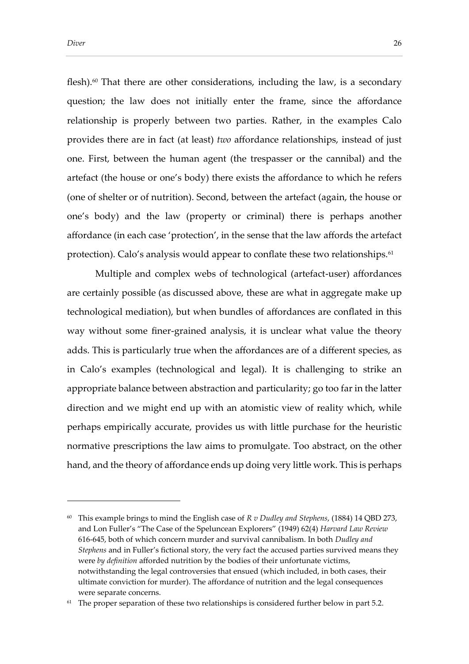flesh). $60$  That there are other considerations, including the law, is a secondary question; the law does not initially enter the frame, since the affordance relationship is properly between two parties. Rather, in the examples Calo provides there are in fact (at least) *two* affordance relationships, instead of just one. First, between the human agent (the trespasser or the cannibal) and the artefact (the house or one's body) there exists the affordance to which he refers (one of shelter or of nutrition). Second, between the artefact (again, the house or one's body) and the law (property or criminal) there is perhaps another affordance (in each case 'protection', in the sense that the law affords the artefact protection). Calo's analysis would appear to conflate these two relationships.<sup>61</sup>

Multiple and complex webs of technological (artefact-user) affordances are certainly possible (as discussed above, these are what in aggregate make up technological mediation), but when bundles of affordances are conflated in this way without some finer-grained analysis, it is unclear what value the theory adds. This is particularly true when the affordances are of a different species, as in Calo's examples (technological and legal). It is challenging to strike an appropriate balance between abstraction and particularity; go too far in the latter direction and we might end up with an atomistic view of reality which, while perhaps empirically accurate, provides us with little purchase for the heuristic normative prescriptions the law aims to promulgate. Too abstract, on the other hand, and the theory of affordance ends up doing very little work. This is perhaps

<sup>60</sup> This example brings to mind the English case of *R v Dudley and Stephens*, (1884) 14 QBD 273, and Lon Fuller's "The Case of the Speluncean Explorers" (1949) 62(4) *Harvard Law Review* 616-645, both of which concern murder and survival cannibalism. In both *Dudley and Stephens* and in Fuller's fictional story, the very fact the accused parties survived means they were *by definition* afforded nutrition by the bodies of their unfortunate victims, notwithstanding the legal controversies that ensued (which included, in both cases, their ultimate conviction for murder). The affordance of nutrition and the legal consequences were separate concerns.

 $61$  The proper separation of these two relationships is considered further below in part [5.2.](#page-32-0)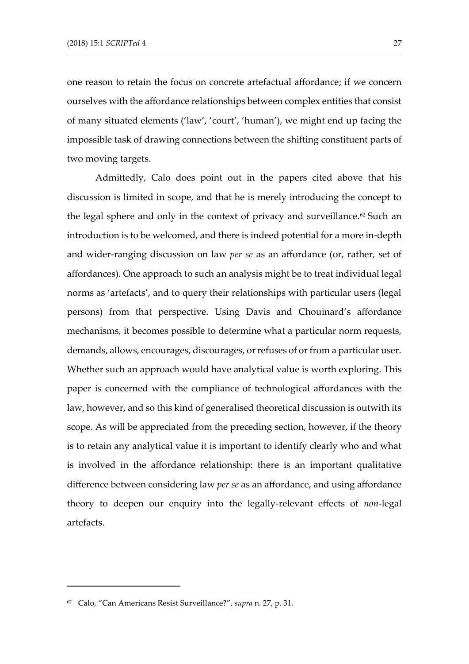one reason to retain the focus on concrete artefactual affordance; if we concern ourselves with the affordance relationships between complex entities that consist of many situated elements ('law', 'court', 'human'), we might end up facing the impossible task of drawing connections between the shifting constituent parts of two moving targets.

Admittedly, Calo does point out in the papers cited above that his discussion is limited in scope, and that he is merely introducing the concept to the legal sphere and only in the context of privacy and surveillance.<sup>62</sup> Such an introduction is to be welcomed, and there is indeed potential for a more in-depth and wider-ranging discussion on law *per se* as an affordance (or, rather, set of affordances). One approach to such an analysis might be to treat individual legal norms as 'artefacts', and to query their relationships with particular users (legal persons) from that perspective. Using Davis and Chouinard's affordance mechanisms, it becomes possible to determine what a particular norm requests, demands, allows, encourages, discourages, or refuses of or from a particular user. Whether such an approach would have analytical value is worth exploring. This paper is concerned with the compliance of technological affordances with the law, however, and so this kind of generalised theoretical discussion is outwith its scope. As will be appreciated from the preceding section, however, if the theory is to retain any analytical value it is important to identify clearly who and what is involved in the affordance relationship: there is an important qualitative difference between considering law *per se* as an affordance, and using affordance theory to deepen our enquiry into the legally-relevant effects of *non*-legal artefacts.

<sup>62</sup> Calo, "Can Americans Resist Surveillance?", *supra* n. 27, p. 31.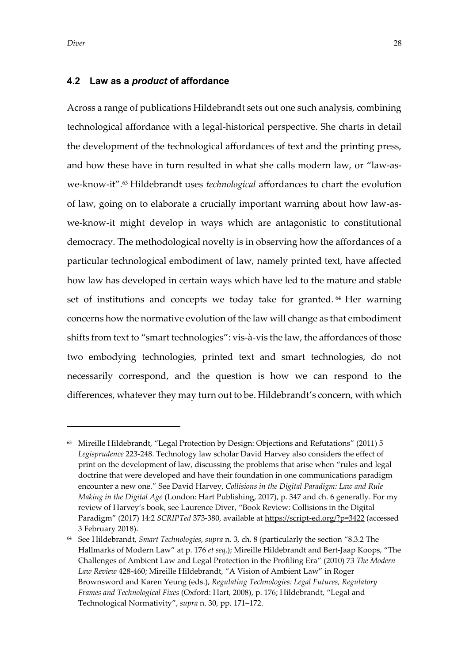#### **4.2 Law as a** *product* **of affordance**

Across a range of publications Hildebrandt sets out one such analysis, combining technological affordance with a legal-historical perspective. She charts in detail the development of the technological affordances of text and the printing press, and how these have in turn resulted in what she calls modern law, or "law-aswe-know-it".<sup>63</sup> Hildebrandt uses *technological* affordances to chart the evolution of law, going on to elaborate a crucially important warning about how law-aswe-know-it might develop in ways which are antagonistic to constitutional democracy. The methodological novelty is in observing how the affordances of a particular technological embodiment of law, namely printed text, have affected how law has developed in certain ways which have led to the mature and stable set of institutions and concepts we today take for granted. <sup>64</sup> Her warning concerns how the normative evolution of the law will change as that embodiment shifts from text to "smart technologies": vis-à-vis the law, the affordances of those two embodying technologies, printed text and smart technologies, do not necessarily correspond, and the question is how we can respond to the differences, whatever they may turn out to be. Hildebrandt's concern, with which

<sup>63</sup> Mireille Hildebrandt, "Legal Protection by Design: Objections and Refutations" (2011) 5 *Legisprudence* 223-248. Technology law scholar David Harvey also considers the effect of print on the development of law, discussing the problems that arise when "rules and legal doctrine that were developed and have their foundation in one communications paradigm encounter a new one." See David Harvey, *Collisions in the Digital Paradigm: Law and Rule Making in the Digital Age* (London: Hart Publishing, 2017), p. 347 and ch. 6 generally. For my review of Harvey's book, see Laurence Diver, "Book Review: Collisions in the Digital Paradigm" (2017) 14:2 *SCRIPTed* 373-380, available at<https://script-ed.org/?p=3422> (accessed 3 February 2018).

<sup>64</sup> See Hildebrandt, *Smart Technologies*, *supra* n. 3, ch. 8 (particularly the section "8.3.2 The Hallmarks of Modern Law" at p. 176 *et seq*.); Mireille Hildebrandt and Bert-Jaap Koops, "The Challenges of Ambient Law and Legal Protection in the Profiling Era" (2010) 73 *The Modern Law Review* 428-460; Mireille Hildebrandt, "A Vision of Ambient Law" in Roger Brownsword and Karen Yeung (eds.), *Regulating Technologies: Legal Futures, Regulatory Frames and Technological Fixes* (Oxford: Hart, 2008), p. 176; Hildebrandt, "Legal and Technological Normativity", *supra* n. 30, pp. 171–172.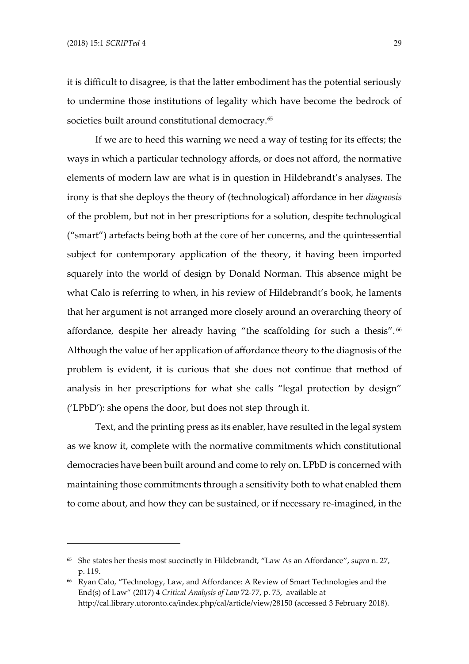it is difficult to disagree, is that the latter embodiment has the potential seriously to undermine those institutions of legality which have become the bedrock of societies built around constitutional democracy.<sup>65</sup>

If we are to heed this warning we need a way of testing for its effects; the ways in which a particular technology affords, or does not afford, the normative elements of modern law are what is in question in Hildebrandt's analyses. The irony is that she deploys the theory of (technological) affordance in her *diagnosis* of the problem, but not in her prescriptions for a solution, despite technological ("smart") artefacts being both at the core of her concerns, and the quintessential subject for contemporary application of the theory, it having been imported squarely into the world of design by Donald Norman. This absence might be what Calo is referring to when, in his review of Hildebrandt's book, he laments that her argument is not arranged more closely around an overarching theory of affordance, despite her already having "the scaffolding for such a thesis".<sup>66</sup> Although the value of her application of affordance theory to the diagnosis of the problem is evident, it is curious that she does not continue that method of analysis in her prescriptions for what she calls "legal protection by design" ('LPbD'): she opens the door, but does not step through it.

Text, and the printing press as its enabler, have resulted in the legal system as we know it, complete with the normative commitments which constitutional democracies have been built around and come to rely on. LPbD is concerned with maintaining those commitments through a sensitivity both to what enabled them to come about, and how they can be sustained, or if necessary re-imagined, in the

<sup>65</sup> She states her thesis most succinctly in Hildebrandt, "Law As an Affordance", *supra* n. 27, p. 119.

<sup>66</sup> Ryan Calo, "Technology, Law, and Affordance: A Review of Smart Technologies and the End(s) of Law" (2017) 4 *Critical Analysis of Law* 72-77, p. 75, available at http://cal.library.utoronto.ca/index.php/cal/article/view/28150 (accessed 3 February 2018).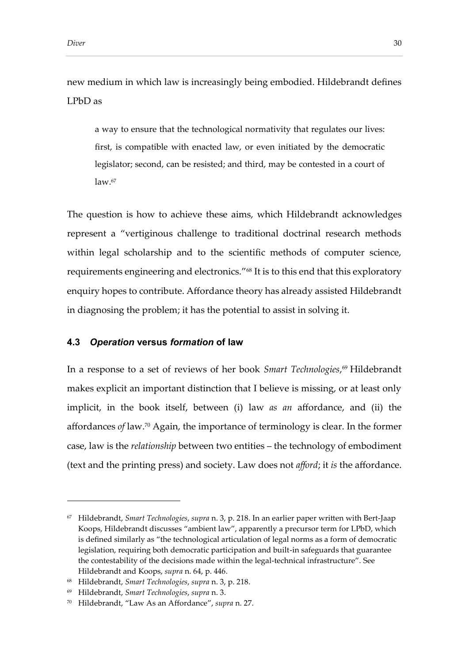new medium in which law is increasingly being embodied. Hildebrandt defines LPbD as

a way to ensure that the technological normativity that regulates our lives: first, is compatible with enacted law, or even initiated by the democratic legislator; second, can be resisted; and third, may be contested in a court of  $law<sub>.67</sub>$ 

The question is how to achieve these aims, which Hildebrandt acknowledges represent a "vertiginous challenge to traditional doctrinal research methods within legal scholarship and to the scientific methods of computer science, requirements engineering and electronics." <sup>68</sup> It is to this end that this exploratory enquiry hopes to contribute. Affordance theory has already assisted Hildebrandt in diagnosing the problem; it has the potential to assist in solving it.

#### **4.3** *Operation* **versus** *formation* **of law**

In a response to a set of reviews of her book *Smart Technologies*, <sup>69</sup> Hildebrandt makes explicit an important distinction that I believe is missing, or at least only implicit, in the book itself, between (i) law *as an* affordance, and (ii) the affordances *of* law. <sup>70</sup> Again, the importance of terminology is clear. In the former case, law is the *relationship* between two entities – the technology of embodiment (text and the printing press) and society. Law does not *afford*; it *is* the affordance.

<sup>67</sup> Hildebrandt, *Smart Technologies*, *supra* n. 3, p. 218. In an earlier paper written with Bert-Jaap Koops, Hildebrandt discusses "ambient law", apparently a precursor term for LPbD, which is defined similarly as "the technological articulation of legal norms as a form of democratic legislation, requiring both democratic participation and built-in safeguards that guarantee the contestability of the decisions made within the legal-technical infrastructure". See Hildebrandt and Koops, *supra* n. 64, p. 446.

<sup>68</sup> Hildebrandt, *Smart Technologies*, *supra* n. 3, p. 218.

<sup>69</sup> Hildebrandt, *Smart Technologies*, *supra* n. 3.

<sup>70</sup> Hildebrandt, "Law As an Affordance", *supra* n. 27.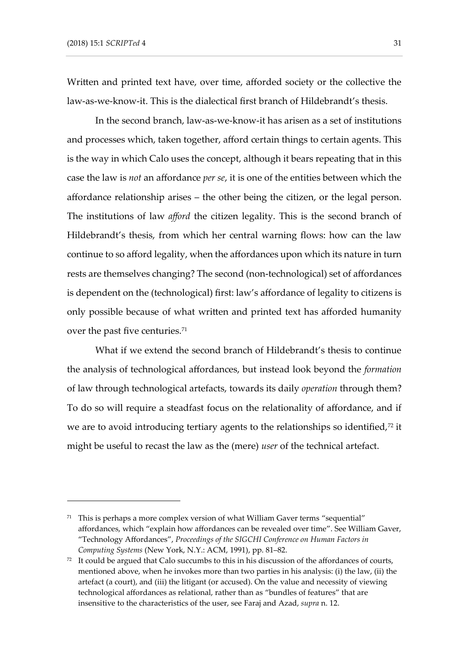Written and printed text have, over time, afforded society or the collective the law-as-we-know-it. This is the dialectical first branch of Hildebrandt's thesis.

In the second branch, law-as-we-know-it has arisen as a set of institutions and processes which, taken together, afford certain things to certain agents. This is the way in which Calo uses the concept, although it bears repeating that in this case the law is *not* an affordance *per se*, it is one of the entities between which the affordance relationship arises – the other being the citizen, or the legal person. The institutions of law *afford* the citizen legality. This is the second branch of Hildebrandt's thesis, from which her central warning flows: how can the law continue to so afford legality, when the affordances upon which its nature in turn rests are themselves changing? The second (non-technological) set of affordances is dependent on the (technological) first: law's affordance of legality to citizens is only possible because of what written and printed text has afforded humanity over the past five centuries.<sup>71</sup>

What if we extend the second branch of Hildebrandt's thesis to continue the analysis of technological affordances, but instead look beyond the *formation* of law through technological artefacts, towards its daily *operation* through them? To do so will require a steadfast focus on the relationality of affordance, and if we are to avoid introducing tertiary agents to the relationships so identified, $72$  it might be useful to recast the law as the (mere) *user* of the technical artefact.

 $71$  This is perhaps a more complex version of what William Gaver terms "sequential" affordances, which "explain how affordances can be revealed over time". See William Gaver, "Technology Affordances", *Proceedings of the SIGCHI Conference on Human Factors in Computing Systems* (New York, N.Y.: ACM, 1991), pp. 81–82.

 $72$  It could be argued that Calo succumbs to this in his discussion of the affordances of courts, mentioned above, when he invokes more than two parties in his analysis: (i) the law, (ii) the artefact (a court), and (iii) the litigant (or accused). On the value and necessity of viewing technological affordances as relational, rather than as "bundles of features" that are insensitive to the characteristics of the user, see Faraj and Azad, *supra* n. 12.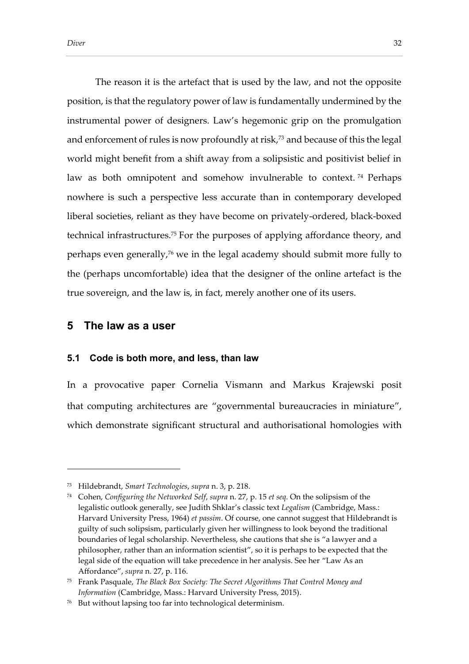The reason it is the artefact that is used by the law, and not the opposite position, is that the regulatory power of law is fundamentally undermined by the instrumental power of designers. Law's hegemonic grip on the promulgation and enforcement of rules is now profoundly at risk,<sup>73</sup> and because of this the legal world might benefit from a shift away from a solipsistic and positivist belief in law as both omnipotent and somehow invulnerable to context. <sup>74</sup> Perhaps nowhere is such a perspective less accurate than in contemporary developed liberal societies, reliant as they have become on privately-ordered, black-boxed technical infrastructures.<sup>75</sup> For the purposes of applying affordance theory, and perhaps even generally,<sup>76</sup> we in the legal academy should submit more fully to the (perhaps uncomfortable) idea that the designer of the online artefact is the true sovereign, and the law is, in fact, merely another one of its users.

# **5 The law as a user**

-

#### **5.1 Code is both more, and less, than law**

In a provocative paper Cornelia Vismann and Markus Krajewski posit that computing architectures are "governmental bureaucracies in miniature", which demonstrate significant structural and authorisational homologies with

<sup>73</sup> Hildebrandt, *Smart Technologies*, *supra* n. 3, p. 218.

<sup>74</sup> Cohen, *Configuring the Networked Self*, *supra* n. 27, p. 15 *et seq*. On the solipsism of the legalistic outlook generally, see Judith Shklar's classic text *Legalism* (Cambridge, Mass.: Harvard University Press, 1964) *et passim*. Of course, one cannot suggest that Hildebrandt is guilty of such solipsism, particularly given her willingness to look beyond the traditional boundaries of legal scholarship. Nevertheless, she cautions that she is "a lawyer and a philosopher, rather than an information scientist", so it is perhaps to be expected that the legal side of the equation will take precedence in her analysis. See her "Law As an Affordance", *supra* n. 27, p. 116.

<sup>75</sup> Frank Pasquale, *The Black Box Society: The Secret Algorithms That Control Money and Information* (Cambridge, Mass.: Harvard University Press, 2015).

<sup>76</sup> But without lapsing too far into technological determinism.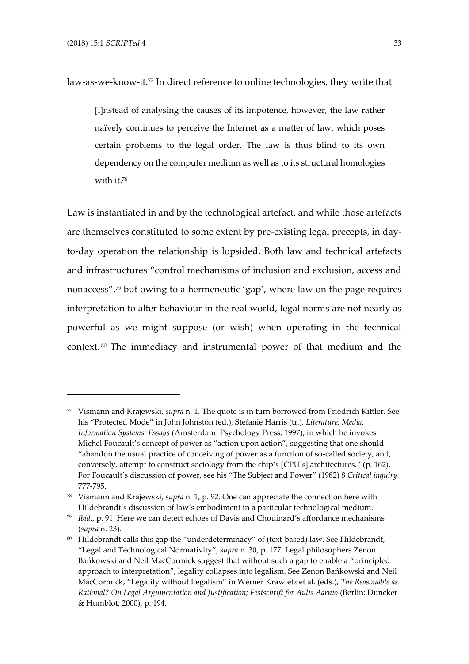law-as-we-know-it.<sup>77</sup> In direct reference to online technologies, they write that

[i]nstead of analysing the causes of its impotence, however, the law rather naïvely continues to perceive the Internet as a matter of law, which poses certain problems to the legal order. The law is thus blind to its own dependency on the computer medium as well as to its structural homologies with it.<sup>78</sup>

Law is instantiated in and by the technological artefact, and while those artefacts are themselves constituted to some extent by pre-existing legal precepts, in dayto-day operation the relationship is lopsided. Both law and technical artefacts and infrastructures "control mechanisms of inclusion and exclusion, access and nonaccess",<sup>79</sup> but owing to a hermeneutic 'gap', where law on the page requires interpretation to alter behaviour in the real world, legal norms are not nearly as powerful as we might suppose (or wish) when operating in the technical context. <sup>80</sup> The immediacy and instrumental power of that medium and the

<sup>77</sup> Vismann and Krajewski, *supra* n. 1. The quote is in turn borrowed from Friedrich Kittler. See his "Protected Mode" in John Johnston (ed.), Stefanie Harris (tr.), *Literature, Media, Information Systems: Essays* (Amsterdam: Psychology Press, 1997), in which he invokes Michel Foucault's concept of power as "action upon action", suggesting that one should "abandon the usual practice of conceiving of power as a function of so-called society, and, conversely, attempt to construct sociology from the chip's [CPU's] architectures." (p. 162). For Foucault's discussion of power, see his "The Subject and Power" (1982) 8 *Critical inquiry* 777-795.

<sup>78</sup> Vismann and Krajewski, *supra* n. 1, p. 92. One can appreciate the connection here with Hildebrandt's discussion of law's embodiment in a particular technological medium.

<sup>79</sup> *Ibid.*, p. 91. Here we can detect echoes of Davis and Chouinard's affordance mechanisms (*supra* n. 23).

<sup>80</sup> Hildebrandt calls this gap the "underdeterminacy" of (text-based) law. See Hildebrandt, "Legal and Technological Normativity", *supra* n. 30, p. 177. Legal philosophers Zenon Bańkowski and Neil MacCormick suggest that without such a gap to enable a "principled approach to interpretation", legality collapses into legalism. See Zenon Bańkowski and Neil MacCormick, "Legality without Legalism" in Werner Krawietz et al. (eds.), *The Reasonable as Rational? On Legal Argumentation and Justification; Festschrift for Aulis Aarnio* (Berlin: Duncker & Humblot, 2000), p. 194.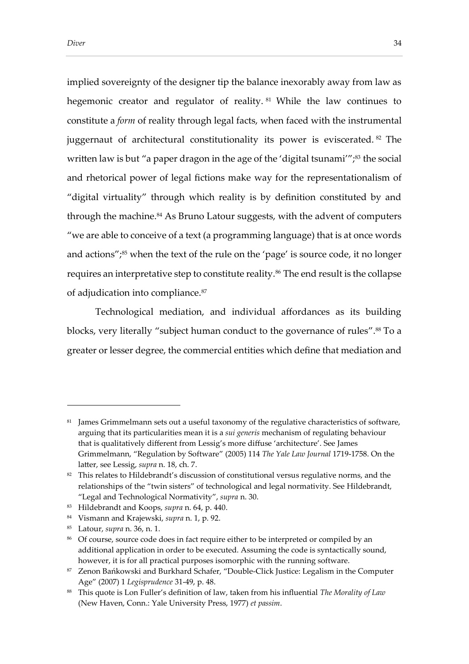implied sovereignty of the designer tip the balance inexorably away from law as hegemonic creator and regulator of reality.<sup>81</sup> While the law continues to constitute a *form* of reality through legal facts, when faced with the instrumental juggernaut of architectural constitutionality its power is eviscerated. <sup>82</sup> The written law is but "a paper dragon in the age of the 'digital tsunami'";<sup>83</sup> the social and rhetorical power of legal fictions make way for the representationalism of "digital virtuality" through which reality is by definition constituted by and through the machine.<sup>84</sup> As Bruno Latour suggests, with the advent of computers "we are able to conceive of a text (a programming language) that is at once words and actions" $i^{85}$  when the text of the rule on the 'page' is source code, it no longer requires an interpretative step to constitute reality.<sup>86</sup> The end result is the collapse of adjudication into compliance.<sup>87</sup>

Technological mediation, and individual affordances as its building blocks, very literally "subject human conduct to the governance of rules".<sup>88</sup> To a greater or lesser degree, the commercial entities which define that mediation and

<sup>&</sup>lt;sup>81</sup> James Grimmelmann sets out a useful taxonomy of the regulative characteristics of software, arguing that its particularities mean it is a *sui generis* mechanism of regulating behaviour that is qualitatively different from Lessig's more diffuse 'architecture'. See James Grimmelmann, "Regulation by Software" (2005) 114 *The Yale Law Journal* 1719-1758. On the latter, see Lessig, *supra* n. 18, ch. 7.

<sup>&</sup>lt;sup>82</sup> This relates to Hildebrandt's discussion of constitutional versus regulative norms, and the relationships of the "twin sisters" of technological and legal normativity. See Hildebrandt, "Legal and Technological Normativity", *supra* n. 30.

<sup>83</sup> Hildebrandt and Koops, *supra* n. 64, p. 440.

<sup>84</sup> Vismann and Krajewski, *supra* n. 1, p. 92.

<sup>85</sup> Latour, *supra* n. 36, n. 1.

<sup>86</sup> Of course, source code does in fact require either to be interpreted or compiled by an additional application in order to be executed. Assuming the code is syntactically sound, however, it is for all practical purposes isomorphic with the running software.

<sup>87</sup> Zenon Bańkowski and Burkhard Schafer, "Double-Click Justice: Legalism in the Computer Age" (2007) 1 *Legisprudence* 31-49, p. 48.

<sup>88</sup> This quote is Lon Fuller's definition of law, taken from his influential *The Morality of Law* (New Haven, Conn.: Yale University Press, 1977) *et passim*.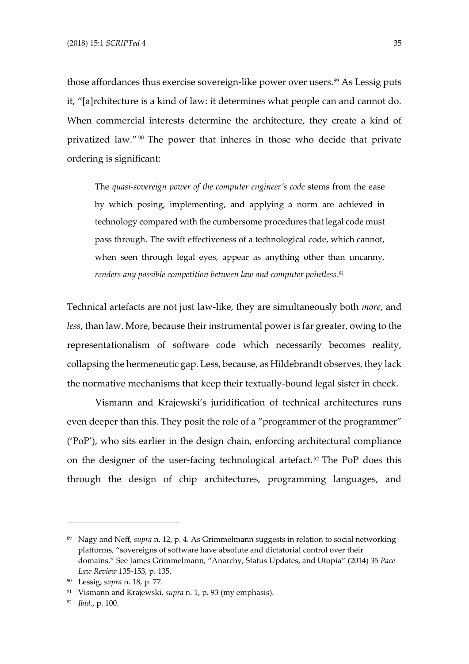those affordances thus exercise sovereign-like power over users.<sup>89</sup> As Lessig puts it, "[a]rchitecture is a kind of law: it determines what people can and cannot do. When commercial interests determine the architecture, they create a kind of privatized law."<sup>90</sup> The power that inheres in those who decide that private ordering is significant:

The *quasi-sovereign power of the computer engineer's code* stems from the ease by which posing, implementing, and applying a norm are achieved in technology compared with the cumbersome procedures that legal code must pass through. The swift effectiveness of a technological code, which cannot, when seen through legal eyes, appear as anything other than uncanny, *renders any possible competition between law and computer pointless*. 91

Technical artefacts are not just law-like, they are simultaneously both *more*, and *less*, than law. More, because their instrumental power is far greater, owing to the representationalism of software code which necessarily becomes reality, collapsing the hermeneutic gap. Less, because, as Hildebrandt observes, they lack the normative mechanisms that keep their textually-bound legal sister in check.

Vismann and Krajewski's juridification of technical architectures runs even deeper than this. They posit the role of a "programmer of the programmer" ('PoP'), who sits earlier in the design chain, enforcing architectural compliance on the designer of the user-facing technological artefact. <sup>92</sup> The PoP does this through the design of chip architectures, programming languages, and

<sup>89</sup> Nagy and Neff, *supra* n. 12, p. 4. As Grimmelmann suggests in relation to social networking platforms, "sovereigns of software have absolute and dictatorial control over their domains." See James Grimmelmann, "Anarchy, Status Updates, and Utopia" (2014) 35 *Pace Law Review* 135-153, p. 135.

<sup>90</sup> Lessig, *supra* n. 18, p. 77.

<sup>91</sup> Vismann and Krajewski, *supra* n. 1, p. 93 (my emphasis).

<sup>92</sup> *Ibid.*, p. 100.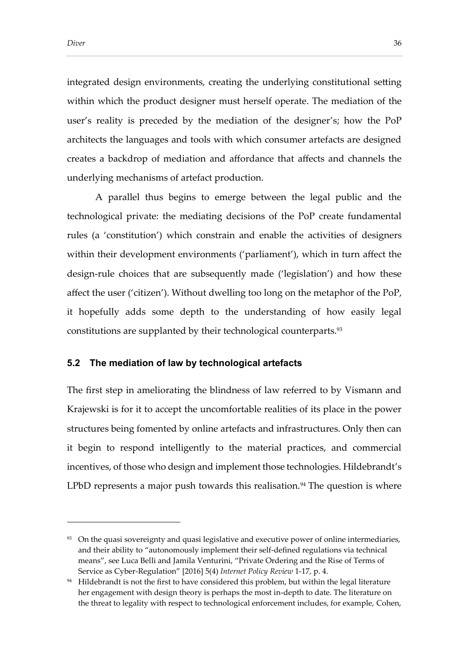integrated design environments, creating the underlying constitutional setting within which the product designer must herself operate. The mediation of the user's reality is preceded by the mediation of the designer's; how the PoP architects the languages and tools with which consumer artefacts are designed creates a backdrop of mediation and affordance that affects and channels the underlying mechanisms of artefact production.

A parallel thus begins to emerge between the legal public and the technological private: the mediating decisions of the PoP create fundamental rules (a 'constitution') which constrain and enable the activities of designers within their development environments ('parliament'), which in turn affect the design-rule choices that are subsequently made ('legislation') and how these affect the user ('citizen'). Without dwelling too long on the metaphor of the PoP, it hopefully adds some depth to the understanding of how easily legal constitutions are supplanted by their technological counterparts. 93

#### <span id="page-32-0"></span>**5.2 The mediation of law by technological artefacts**

The first step in ameliorating the blindness of law referred to by Vismann and Krajewski is for it to accept the uncomfortable realities of its place in the power structures being fomented by online artefacts and infrastructures. Only then can it begin to respond intelligently to the material practices, and commercial incentives, of those who design and implement those technologies. Hildebrandt's LPbD represents a major push towards this realisation.<sup>94</sup> The question is where

<sup>&</sup>lt;sup>93</sup> On the quasi sovereignty and quasi legislative and executive power of online intermediaries, and their ability to "autonomously implement their self-defined regulations via technical means", see Luca Belli and Jamila Venturini, "Private Ordering and the Rise of Terms of Service as Cyber-Regulation" [2016] 5(4) *Internet Policy Review* 1-17, p. 4.

<sup>94</sup> Hildebrandt is not the first to have considered this problem, but within the legal literature her engagement with design theory is perhaps the most in-depth to date. The literature on the threat to legality with respect to technological enforcement includes, for example, Cohen,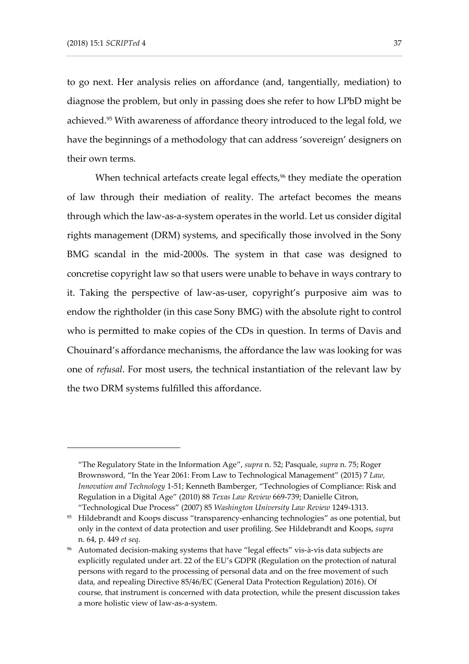to go next. Her analysis relies on affordance (and, tangentially, mediation) to diagnose the problem, but only in passing does she refer to how LPbD might be achieved.<sup>95</sup> With awareness of affordance theory introduced to the legal fold, we have the beginnings of a methodology that can address 'sovereign' designers on their own terms.

When technical artefacts create legal effects,<sup>96</sup> they mediate the operation of law through their mediation of reality. The artefact becomes the means through which the law-as-a-system operates in the world. Let us consider digital rights management (DRM) systems, and specifically those involved in the Sony BMG scandal in the mid-2000s. The system in that case was designed to concretise copyright law so that users were unable to behave in ways contrary to it. Taking the perspective of law-as-user, copyright's purposive aim was to endow the rightholder (in this case Sony BMG) with the absolute right to control who is permitted to make copies of the CDs in question. In terms of Davis and Chouinard's affordance mechanisms, the affordance the law was looking for was one of *refusal*. For most users, the technical instantiation of the relevant law by the two DRM systems fulfilled this affordance.

<sup>&</sup>quot;The Regulatory State in the Information Age", *supra* n. 52; Pasquale, *supra* n. 75; Roger Brownsword, "In the Year 2061: From Law to Technological Management" (2015) 7 *Law, Innovation and Technology* 1-51; Kenneth Bamberger, "Technologies of Compliance: Risk and Regulation in a Digital Age" (2010) 88 *Texas Law Review* 669-739; Danielle Citron, "Technological Due Process" (2007) 85 *Washington University Law Review* 1249-1313.

<sup>95</sup> Hildebrandt and Koops discuss "transparency-enhancing technologies" as one potential, but only in the context of data protection and user profiling. See Hildebrandt and Koops, *supra* n. 64, p. 449 *et seq*.

<sup>96</sup> Automated decision-making systems that have "legal effects" vis-à-vis data subjects are explicitly regulated under art. 22 of the EU's GDPR (Regulation on the protection of natural persons with regard to the processing of personal data and on the free movement of such data, and repealing Directive 85/46/EC (General Data Protection Regulation) 2016). Of course, that instrument is concerned with data protection, while the present discussion takes a more holistic view of law-as-a-system.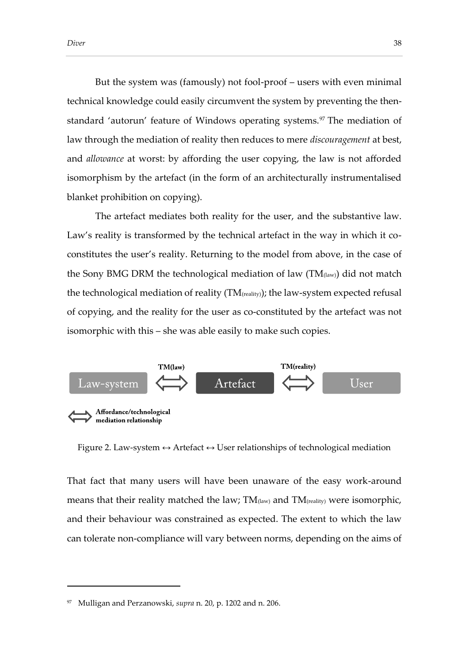But the system was (famously) not fool-proof – users with even minimal technical knowledge could easily circumvent the system by preventing the thenstandard 'autorun' feature of Windows operating systems.<sup>97</sup> The mediation of law through the mediation of reality then reduces to mere *discouragement* at best, and *allowance* at worst: by affording the user copying, the law is not afforded isomorphism by the artefact (in the form of an architecturally instrumentalised blanket prohibition on copying).

The artefact mediates both reality for the user, and the substantive law. Law's reality is transformed by the technical artefact in the way in which it coconstitutes the user's reality. Returning to the model from above, in the case of the Sony BMG DRM the technological mediation of law  $(TM<sub>(law)</sub>)$  did not match the technological mediation of reality (TM(reality)); the law-system expected refusal of copying, and the reality for the user as co-constituted by the artefact was not isomorphic with this – she was able easily to make such copies.



Figure 2. Law-system  $\leftrightarrow$  Artefact  $\leftrightarrow$  User relationships of technological mediation

That fact that many users will have been unaware of the easy work-around means that their reality matched the law;  $TM_{\text{(law)}}$  and  $TM_{\text{(reality)}}$  were isomorphic, and their behaviour was constrained as expected. The extent to which the law can tolerate non-compliance will vary between norms, depending on the aims of

<sup>97</sup> Mulligan and Perzanowski, *supra* n. 20, p. 1202 and n. 206.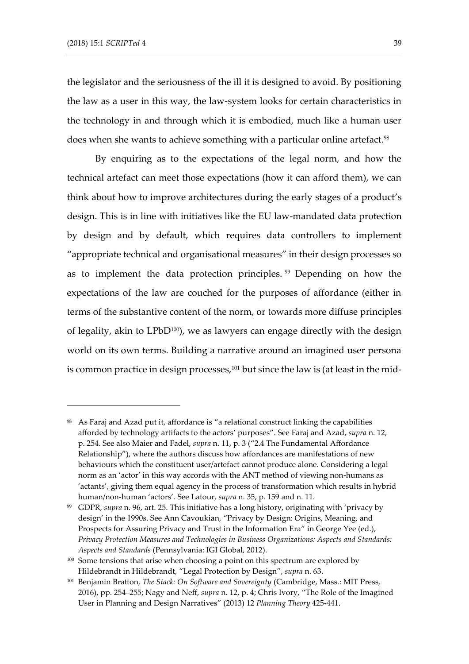the legislator and the seriousness of the ill it is designed to avoid. By positioning the law as a user in this way, the law-system looks for certain characteristics in the technology in and through which it is embodied, much like a human user does when she wants to achieve something with a particular online artefact.<sup>98</sup>

By enquiring as to the expectations of the legal norm, and how the technical artefact can meet those expectations (how it can afford them), we can think about how to improve architectures during the early stages of a product's design. This is in line with initiatives like the EU law-mandated data protection by design and by default, which requires data controllers to implement "appropriate technical and organisational measures" in their design processes so as to implement the data protection principles. <sup>99</sup> Depending on how the expectations of the law are couched for the purposes of affordance (either in terms of the substantive content of the norm, or towards more diffuse principles of legality, akin to  $LPbD^{100}$ , we as lawyers can engage directly with the design world on its own terms. Building a narrative around an imagined user persona is common practice in design processes, $101$  but since the law is (at least in the mid-

<sup>98</sup> As Faraj and Azad put it, affordance is "a relational construct linking the capabilities afforded by technology artifacts to the actors' purposes". See Faraj and Azad, *supra* n. 12, p. 254. See also Maier and Fadel, *supra* n. 11, p. 3 ("2.4 The Fundamental Affordance Relationship"), where the authors discuss how affordances are manifestations of new behaviours which the constituent user/artefact cannot produce alone. Considering a legal norm as an 'actor' in this way accords with the ANT method of viewing non-humans as 'actants', giving them equal agency in the process of transformation which results in hybrid human/non-human 'actors'. See Latour, *supra* n. 35, p. 159 and n. 11.

<sup>99</sup> GDPR, *supra* n. 96, art. 25. This initiative has a long history, originating with 'privacy by design' in the 1990s. See Ann Cavoukian, "Privacy by Design: Origins, Meaning, and Prospects for Assuring Privacy and Trust in the Information Era" in George Yee (ed.), *Privacy Protection Measures and Technologies in Business Organizations: Aspects and Standards: Aspects and Standards* (Pennsylvania: IGI Global, 2012).

<sup>&</sup>lt;sup>100</sup> Some tensions that arise when choosing a point on this spectrum are explored by Hildebrandt in Hildebrandt, "Legal Protection by Design", *supra* n. 63.

<sup>101</sup> Benjamin Bratton, *The Stack: On Software and Sovereignty* (Cambridge, Mass.: MIT Press, 2016), pp. 254–255; Nagy and Neff, *supra* n. 12, p. 4; Chris Ivory, "The Role of the Imagined User in Planning and Design Narratives" (2013) 12 *Planning Theory* 425-441.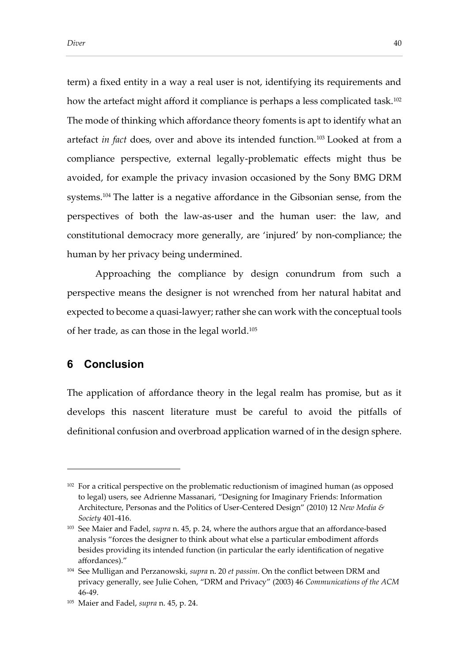term) a fixed entity in a way a real user is not, identifying its requirements and how the artefact might afford it compliance is perhaps a less complicated task.<sup>102</sup> The mode of thinking which affordance theory foments is apt to identify what an artefact *in fact* does, over and above its intended function.<sup>103</sup> Looked at from a compliance perspective, external legally-problematic effects might thus be avoided, for example the privacy invasion occasioned by the Sony BMG DRM systems.<sup>104</sup> The latter is a negative affordance in the Gibsonian sense, from the perspectives of both the law-as-user and the human user: the law, and constitutional democracy more generally, are 'injured' by non-compliance; the human by her privacy being undermined.

Approaching the compliance by design conundrum from such a perspective means the designer is not wrenched from her natural habitat and expected to become a quasi-lawyer; rather she can work with the conceptual tools of her trade, as can those in the legal world.<sup>105</sup>

# **6 Conclusion**

-

The application of affordance theory in the legal realm has promise, but as it develops this nascent literature must be careful to avoid the pitfalls of definitional confusion and overbroad application warned of in the design sphere.

<sup>&</sup>lt;sup>102</sup> For a critical perspective on the problematic reductionism of imagined human (as opposed to legal) users, see Adrienne Massanari, "Designing for Imaginary Friends: Information Architecture, Personas and the Politics of User-Centered Design" (2010) 12 *New Media & Society* 401-416.

<sup>103</sup> See Maier and Fadel, *supra* n. 45, p. 24, where the authors argue that an affordance-based analysis "forces the designer to think about what else a particular embodiment affords besides providing its intended function (in particular the early identification of negative affordances)."

<sup>104</sup> See Mulligan and Perzanowski, *supra* n. 20 *et passim*. On the conflict between DRM and privacy generally, see Julie Cohen, "DRM and Privacy" (2003) 46 *Communications of the ACM* 46-49.

<sup>105</sup> Maier and Fadel, *supra* n. 45, p. 24.